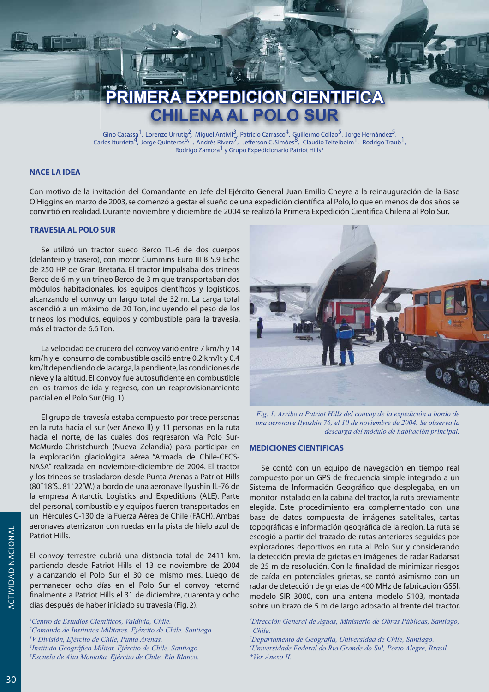# **PRIMERA EXPEDICION CIENTIFICA ENA AL POLO SUR**

Gino Casassa<sup>1</sup>, Lorenzo Urrutia<sup>2</sup>, Miguel Antivil<sup>3</sup>, Patricio Carrasco<sup>4</sup>, Guillermo Collao<sup>5</sup>, Jorge Hernández<sup>5</sup>, Carlos Iturrieta<sup>4</sup>, Jorge Quinteros<sup>6, 1</sup>, Andrés Rivera<sup>7</sup>, Jefferson C. Simões<sup>8</sup>, Claudio Teitelboi Rodrigo Zamora<sup>1</sup> y Grupo Expedicionario Patriot Hills\*

# **NACE LA IDEA**

Con motivo de la invitación del Comandante en Jefe del Ejército General Juan Emilio Cheyre a la reinauguración de la Base O'Higgins en marzo de 2003, se comenzó a gestar el sueño de una expedición científica al Polo, lo que en menos de dos años se convirtió en realidad. Durante noviembre y diciembre de 2004 se realizó la Primera Expedición Científica Chilena al Polo Sur.

# **TRAVESIA AL POLO SUR**

Se utilizó un tractor sueco Berco TL-6 de dos cuerpos (delantero y trasero), con motor Cummins Euro III B 5.9 Echo de 250 HP de Gran Bretaña. El tractor impulsaba dos trineos Berco de 6 m y un trineo Berco de 3 m que transportaban dos módulos habitacionales, los equipos científicos y logísticos, alcanzando el convoy un largo total de 32 m. La carga total ascendió a un máximo de 20 Ton, incluyendo el peso de los trineos los módulos, equipos y combustible para la travesía, más el tractor de 6.6 Ton.

La velocidad de crucero del convoy varió entre 7 km/h y 14 km/h y el consumo de combustible osciló entre 0.2 km/lt y 0.4 km/lt dependiendo de la carga, la pendiente, las condiciones de nieve y la altitud. El convoy fue autosuficiente en combustible en los tramos de ida y regreso, con un reaprovisionamiento parcial en el Polo Sur (Fig. 1).

El grupo de travesía estaba compuesto por trece personas en la ruta hacia el sur (ver Anexo II) y 11 personas en la ruta hacia el norte, de las cuales dos regresaron vía Polo Sur-McMurdo-Christchurch (Nueva Zelandia) para participar en la exploración glaciológica aérea "Armada de Chile-CECS-NASA" realizada en noviembre-diciembre de 2004. El tractor y los trineos se trasladaron desde Punta Arenas a Patriot Hills (80°18'S., 81°22'W.) a bordo de una aeronave Ilyushin IL-76 de la empresa Antarctic Logistics and Expeditions (ALE). Parte del personal, combustible y equipos fueron transportados en un Hércules C-130 de la Fuerza Aérea de Chile (FACH). Ambas aeronaves aterrizaron con ruedas en la pista de hielo azul de Patriot Hills.

El convoy terrestre cubrió una distancia total de 2411 km, partiendo desde Patriot Hills el 13 de noviembre de 2004 y alcanzando el Polo Sur el 30 del mismo mes. Luego de permanecer ocho días en el Polo Sur el convoy retornó finalmente a Patriot Hills el 31 de diciembre, cuarenta y ocho días después de haber iniciado su travesía (Fig. 2).

<sup>1</sup>Centro de Estudios Científicos, Valdivia, Chile. <sup>2</sup>Comando de Institutos Militares, Ejército de Chile, Santiago. <sup>3</sup>V División, Ejército de Chile, Punta Arenas. <sup>4</sup>Instituto Geográfico Militar, Ejército de Chile, Santiago. <sup>5</sup>Escuela de Alta Montaña, Ejército de Chile, Río Blanco.



Fig. 1. Arribo a Patriot Hills del convoy de la expedición a bordo de una aeronave Ilyushin 76, el 10 de noviembre de 2004. Se observa la descarga del módulo de habitación principal.

# **MEDICIONES CIENTIFICAS**

Se contó con un equipo de navegación en tiempo real compuesto por un GPS de frecuencia simple integrado a un Sistema de Información Geográfico que desplegaba, en un monitor instalado en la cabina del tractor, la ruta previamente elegida. Este procedimiento era complementado con una base de datos compuesta de imágenes satelitales, cartas topográficas e información geográfica de la región. La ruta se escogió a partir del trazado de rutas anteriores seguidas por exploradores deportivos en ruta al Polo Sur y considerando la detección previa de grietas en imágenes de radar Radarsat de 25 m de resolución. Con la finalidad de minimizar riesgos de caída en potenciales grietas, se contó asimismo con un radar de detección de grietas de 400 MHz de fabricación GSSI, modelo SIR 3000, con una antena modelo 5103, montada sobre un brazo de 5 m de largo adosado al frente del tractor,

<sup>6</sup>Dirección General de Aguas, Ministerio de Obras Públicas, Santiago, Chile.

<sup>7</sup>Departamento de Geografía, Universidad de Chile, Santiago. <sup>8</sup>Universidade Federal do Rio Grande do Sul, Porto Alegre, Brasil.  $*Ver$  Anexo II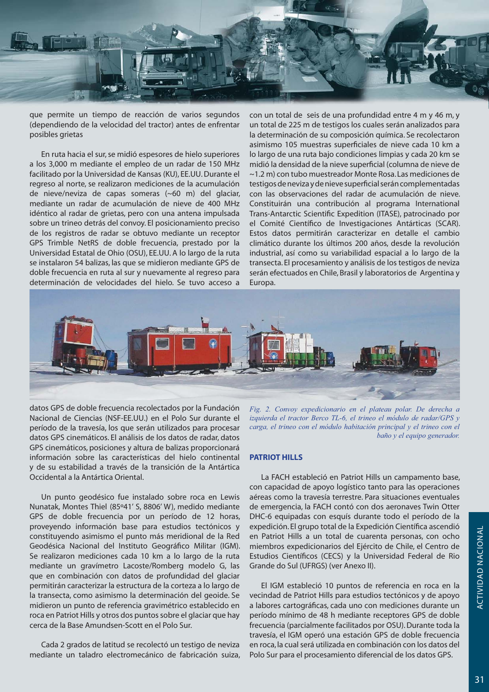

que permite un tiempo de reacción de varios segundos (dependiendo de la velocidad del tractor) antes de enfrentar posibles grietas

En ruta hacia el sur, se midió espesores de hielo superiores a los 3,000 m mediante el empleo de un radar de 150 MHz facilitado por la Universidad de Kansas (KU), EE.UU. Durante el regreso al norte, se realizaron mediciones de la acumulación de nieve/neviza de capas someras (~60 m) del glaciar, mediante un radar de acumulación de nieve de 400 MHz idéntico al radar de grietas, pero con una antena impulsada sobre un trineo detrás del convoy. El posicionamiento preciso de los registros de radar se obtuvo mediante un receptor GPS Trimble NetRS de doble frecuencia, prestado por la Universidad Estatal de Ohio (OSU), EE.UU. A lo largo de la ruta se instalaron 54 balizas, las que se midieron mediante GPS de doble frecuencia en ruta al sur y nuevamente al regreso para determinación de velocidades del hielo. Se tuvo acceso a con un total de seis de una profundidad entre 4 m y 46 m, y un total de 225 m de testigos los cuales serán analizados para la determinación de su composición química. Se recolectaron asimismo 105 muestras superficiales de nieve cada 10 km a lo largo de una ruta bajo condiciones limpias y cada 20 km se midió la densidad de la nieve superficial (columna de nieve de ~1.2 m) con tubo muestreador Monte Rosa. Las mediciones de testigos de neviza y de nieve superficial serán complementadas con las observaciones del radar de acumulación de nieve. Constituirán una contribución al programa International Trans-Antarctic Scientific Expedition (ITASE), patrocinado por el Comité Científico de Investigaciones Antárticas (SCAR). Estos datos permitirán caracterizar en detalle el cambio climático durante los últimos 200 años, desde la revolución industrial, así como su variabilidad espacial a lo largo de la transecta. El procesamiento y análisis de los testigos de neviza serán efectuados en Chile, Brasil y laboratorios de Argentina y Europa.



datos GPS de doble frecuencia recolectados por la Fundación Nacional de Ciencias (NSF-EE.UU.) en el Polo Sur durante el período de la travesía, los que serán utilizados para procesar datos GPS cinemáticos. El análisis de los datos de radar, datos GPS cinemáticos, posiciones y altura de balizas proporcionará información sobre las características del hielo continental y de su estabilidad a través de la transición de la Antártica Occidental a la Antártica Oriental.

Un punto geodésico fue instalado sobre roca en Lewis Nunatak, Montes Thiel (85°41' S, 8806' W), medido mediante GPS de doble frecuencia por un período de 12 horas, proveyendo información base para estudios tectónicos y constituyendo asimismo el punto más meridional de la Red Geodésica Nacional del Instituto Geográfico Militar (IGM). Se realizaron mediciones cada 10 km a lo largo de la ruta mediante un gravímetro Lacoste/Romberg modelo G, las que en combinación con datos de profundidad del glaciar permitirán caracterizar la estructura de la corteza a lo largo de la transecta, como asimismo la determinación del geoide. Se midieron un punto de referencia gravimétrico establecido en roca en Patriot Hills y otros dos puntos sobre el glaciar que hay cerca de la Base Amundsen-Scott en el Polo Sur.

Cada 2 grados de latitud se recolectó un testigo de neviza mediante un taladro electromecánico de fabricación suiza,

Fig. 2. Convoy expedicionario en el plateau polar. De derecha a izquierda el tractor Berco TL-6, el trineo el módulo de radar/GPS y carga, el trineo con el módulo habitación principal y el trineo con el baño y el equipo generador.

# **PATRIOT HILLS**

La FACH estableció en Patriot Hills un campamento base, con capacidad de apoyo logístico tanto para las operaciones aéreas como la travesía terrestre. Para situaciones eventuales de emergencia, la FACH contó con dos aeronaves Twin Otter DHC-6 equipadas con esquís durante todo el período de la expedición. El grupo total de la Expedición Científica ascendió en Patriot Hills a un total de cuarenta personas, con ocho miembros expedicionarios del Ejército de Chile, el Centro de Estudios Científicos (CECS) y la Universidad Federal de Rio Grande do Sul (UFRGS) (ver Anexo II).

El IGM estableció 10 puntos de referencia en roca en la vecindad de Patriot Hills para estudios tectónicos y de apoyo a labores cartográficas, cada uno con mediciones durante un período mínimo de 48 h mediante receptores GPS de doble frecuencia (parcialmente facilitados por OSU). Durante toda la travesía, el IGM operó una estación GPS de doble frecuencia en roca, la cual será utilizada en combinación con los datos del Polo Sur para el procesamiento diferencial de los datos GPS.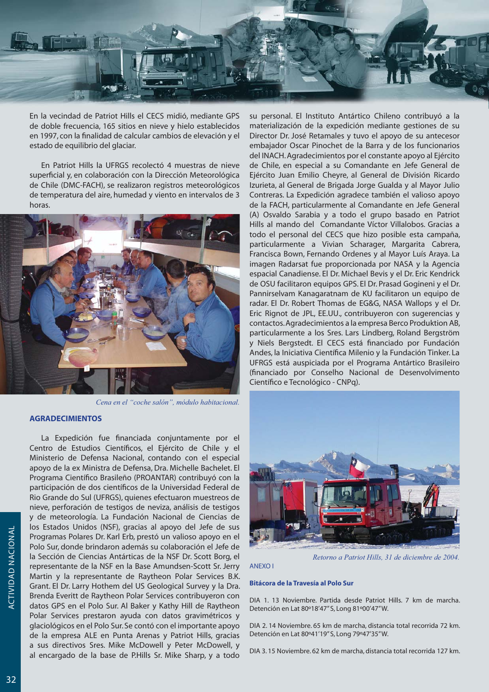

En la vecindad de Patriot Hills el CECS midió, mediante GPS de doble frecuencia, 165 sitios en nieve y hielo establecidos en 1997, con la finalidad de calcular cambios de elevación y el estado de equilibrio del glaciar.

En Patriot Hills la UFRGS recolectó 4 muestras de nieve superficial y, en colaboración con la Dirección Meteorológica de Chile (DMC-FACH), se realizaron registros meteorológicos de temperatura del aire, humedad y viento en intervalos de 3 horas.



Cena en el "coche salón", módulo habitacional.

# **AGRADECIMIENTOS**

La Expedición fue financiada conjuntamente por el Centro de Estudios Científicos, el Ejército de Chile y el Ministerio de Defensa Nacional, contando con el especial apoyo de la ex Ministra de Defensa, Dra. Michelle Bachelet. El Programa Científico Brasileño (PROANTAR) contribuyó con la participación de dos científicos de la Universidad Federal de Rio Grande do Sul (UFRGS), quienes efectuaron muestreos de nieve, perforación de testigos de neviza, análisis de testigos y de meteorología. La Fundación Nacional de Ciencias de los Estados Unidos (NSF), gracias al apoyo del Jefe de sus Programas Polares Dr. Karl Erb, prestó un valioso apoyo en el Polo Sur, donde brindaron además su colaboración el Jefe de la Sección de Ciencias Antárticas de la NSF Dr. Scott Borg, el representante de la NSF en la Base Amundsen-Scott Sr. Jerry Martin y la representante de Raytheon Polar Services B.K. Grant. El Dr. Larry Hothem del US Geological Survey y la Dra. Brenda Everitt de Raytheon Polar Services contribuyeron con datos GPS en el Polo Sur. Al Baker y Kathy Hill de Raytheon Polar Services prestaron ayuda con datos gravimétricos y glaciológicos en el Polo Sur. Se contó con el importante apoyo de la empresa ALE en Punta Arenas y Patriot Hills, gracias a sus directivos Sres. Mike McDowell y Peter McDowell, y al encargado de la base de P.Hills Sr. Mike Sharp, y a todo

su personal. El Instituto Antártico Chileno contribuyó a la materialización de la expedición mediante gestiones de su Director Dr. José Retamales y tuvo el apoyo de su antecesor embajador Oscar Pinochet de la Barra y de los funcionarios del INACH. Agradecimientos por el constante apoyo al Ejército de Chile, en especial a su Comandante en Jefe General de Ejército Juan Emilio Cheyre, al General de División Ricardo Izurieta, al General de Brigada Jorge Gualda y al Mayor Julio Contreras. La Expedición agradece también el valioso apoyo de la FACH, particularmente al Comandante en Jefe General (A) Osvaldo Sarabia y a todo el grupo basado en Patriot Hills al mando del Comandante Víctor Villalobos. Gracias a todo el personal del CECS que hizo posible esta campaña, particularmente a Vivian Scharager, Margarita Cabrera, Francisca Bown, Fernando Ordenes y al Mayor Luís Araya. La imagen Radarsat fue proporcionada por NASA y la Agencia espacial Canadiense. El Dr. Michael Bevis y el Dr. Eric Kendrick de OSU facilitaron equipos GPS. El Dr. Prasad Gogineni y el Dr. Pannirselvam Kanagaratnam de KU facilitaron un equipo de radar. El Dr. Robert Thomas de EG&G, NASA Wallops y el Dr. Eric Rignot de JPL, EE.UU., contribuyeron con sugerencias y contactos. Agradecimientos a la empresa Berco Produktion AB, particularmente a los Sres. Lars Lindberg, Roland Bergström y Niels Bergstedt. El CECS está financiado por Fundación Andes, la Iniciativa Científica Milenio y la Fundación Tinker. La UFRGS está auspiciada por el Programa Antártico Brasileiro (financiado por Conselho Nacional de Desenvolvimento Científico e Tecnológico - CNPq).



Retorno a Patriot Hills, 31 de diciembre de 2004.

# ANFXO I

#### Bitácora de la Travesía al Polo Sur

DIA 1, 13 Noviembre, Partida desde Patriot Hills, 7 km de marcha, Detención en Lat 80°18'47" S, Long 81°00'47" W.

DIA 2.14 Noviembre. 65 km de marcha, distancia total recorrida 72 km. Detención en Lat 80°41'19" S, Long 79°47'35" W.

DIA 3.15 Noviembre. 62 km de marcha, distancia total recorrida 127 km.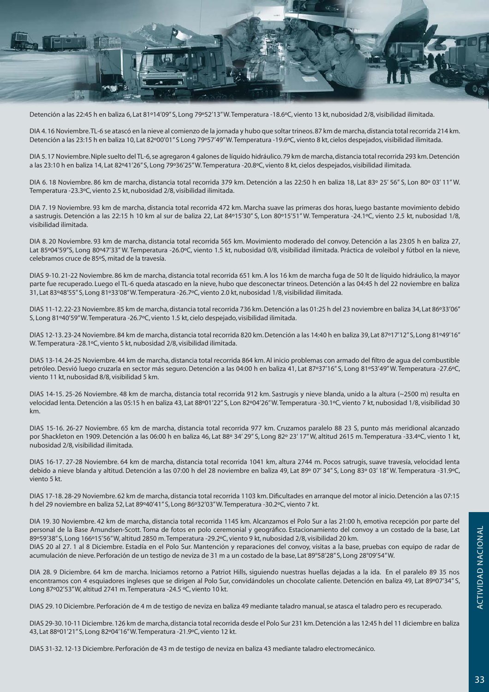

Detención a las 22:45 h en baliza 6, Lat 81°14'09" S, Long 79°52'13" W. Temperatura -18.6°C, viento 13 kt, nubosidad 2/8, visibilidad ilimitada.

DIA 4.16 Noviembre. TL-6 se atascó en la nieve al comienzo de la jornada y hubo que soltar trineos. 87 km de marcha, distancia total recorrida 214 km. Detención a las 23:15 h en baliza 10, Lat 82°00'01" S Long 79°57'49" W. Temperatura -19.6°C, viento 8 kt, cielos despejados, visibilidad ilimitada.

DIA 5.17 Noviembre. Niple suelto del TL-6, se agregaron 4 galones de líquido hidráulico. 79 km de marcha, distancia total recorrida 293 km. Detención a las 23:10 h en baliza 14, Lat 82°41'26" S, Long 79°36'25" W. Temperatura -20.8°C, viento 8 kt, cielos despejados, visibilidad ilimitada.

DIA 6.18 Noviembre. 86 km de marcha, distancia total recorrida 379 km. Detención a las 22:50 h en baliza 18, Lat 83° 25' 56" S, Lon 80° 03' 11" W. Temperatura -23.3°C, viento 2.5 kt, nubosidad 2/8, visibilidad ilimitada.

DIA 7.19 Noviembre. 93 km de marcha, distancia total recorrida 472 km. Marcha suave las primeras dos horas, luego bastante movimiento debido a sastrugis. Detención a las 22:15 h 10 km al sur de baliza 22, Lat 84°15'30" S, Lon 80°15'51" W. Temperatura -24.1°C, viento 2.5 kt, nubosidad 1/8, visibilidad ilimitada.

DIA 8.20 Noviembre. 93 km de marcha, distancia total recorrida 565 km. Movimiento moderado del convoy. Detención a las 23:05 h en baliza 27, Lat 85°04'59"S, Long 80°47'33" W. Temperatura -26.0°C, viento 1.5 kt, nubosidad 0/8, visibilidad ilimitada. Práctica de voleibol y fútbol en la nieve, celebramos cruce de 85°S, mitad de la travesía.

DIAS 9-10.21-22 Noviembre. 86 km de marcha, distancia total recorrida 651 km. A los 16 km de marcha fuga de 50 lt de líquido hidráulico, la mayor parte fue recuperado. Luego el TL-6 queda atascado en la nieve, hubo que desconectar trineos. Detención a las 04:45 h del 22 noviembre en baliza 31, Lat 83°48'55" S, Long 81°33'08" W. Temperatura -26.7°C, viento 2.0 kt, nubosidad 1/8, visibilidad ilimitada.

DIAS 11-12.22-23 Noviembre. 85 km de marcha, distancia total recorrida 736 km. Detención a las 01:25 h del 23 noviembre en baliza 34, Lat 86°33'06" S, Long 81°40'59"W. Temperatura -26.7°C, viento 1.5 kt, cielo despejado, visibilidad ilimitada.

DIAS 12-13.23-24 Noviembre. 84 km de marcha, distancia total recorrida 820 km. Detención a las 14:40 h en baliza 39. Lat 87°17'12" S. Long 81°49'16" W. Temperatura -28.1°C, viento 5 kt, nubosidad 2/8, visibilidad ilimitada.

DIAS 13-14.24-25 Noviembre. 44 km de marcha, distancia total recorrida 864 km. Al inicio problemas con armado del filtro de aqua del combustible petróleo. Desvió luego cruzarla en sector más seguro. Detención a las 04:00 h en baliza 41, Lat 87°37'16" S, Long 81°53'49" W. Temperatura -27.6°C, viento 11 kt, nubosidad 8/8, visibilidad 5 km.

DIAS 14-15.25-26 Noviembre. 48 km de marcha, distancia total recorrida 912 km. Sastrugis y nieve blanda, unido a la altura (~2500 m) resulta en velocidad lenta. Detención a las 05:15 h en baliza 43, Lat 88°01'22" S, Lon 82°04'26" W. Temperatura -30.1°C, viento 7 kt, nubosidad 1/8, visibilidad 30 km.

DIAS 15-16. 26-27 Noviembre. 65 km de marcha, distancia total recorrida 977 km. Cruzamos paralelo 88 23 S, punto más meridional alcanzado por Shackleton en 1909. Detención a las 06:00 h en baliza 46, Lat 88° 34' 29" S, Long 82° 23' 17" W, altitud 2615 m. Temperatura -33.4°C, viento 1 kt, nubosidad 2/8, visibilidad ilimitada.

DIAS 16-17. 27-28 Noviembre. 64 km de marcha, distancia total recorrida 1041 km, altura 2744 m. Pocos satrugis, suave travesía, velocidad lenta debido a nieve blanda y altitud. Detención a las 07:00 h del 28 noviembre en baliza 49, Lat 89° 07' 34" S, Long 83° 03' 18" W. Temperatura -31.9°C, viento 5 kt.

DIAS 17-18, 28-29 Noviembre, 62 km de marcha, distancia total recorrida 1103 km. Dificultades en arrangue del motor al inicio. Detención a las 07:15 h del 29 noviembre en baliza 52, Lat 89°40'41" S, Long 86°32'03" W. Temperatura -30.2°C, viento 7 kt.

DIA 19.30 Noviembre. 42 km de marcha, distancia total recorrida 1145 km. Alcanzamos el Polo Sur a las 21:00 h, emotiva recepción por parte del personal de la Base Amundsen-Scott. Toma de fotos en polo ceremonial y geográfico. Estacionamiento del convoy a un costado de la base, Lat 89°59'38" S, Long 166°15'56" W, altitud 2850 m. Temperatura -29.2°C, viento 9 kt, nubosidad 2/8, visibilidad 20 km. DIAS 20 al 27, 1 al 8 Diciembre, Estadía en el Polo Sur, Mantención y reparaciones del convoy, visitas a la base, pruebas con equipo de radar de acumulación de nieve. Perforación de un testigo de neviza de 31 m a un costado de la base, Lat 89°58'28" S, Long 28°09'54" W.

DIA 28.9 Diciembre. 64 km de marcha. Iniciamos retorno a Patriot Hills, siguiendo nuestras huellas dejadas a la ida. En el paralelo 89 35 nos encontramos con 4 esquiadores ingleses que se dirigen al Polo Sur, convidándoles un chocolate caliente. Detención en baliza 49, Lat 89°07'34" S, Long 87°02'53"W, altitud 2741 m. Temperatura -24.5 °C, viento 10 kt.

DIAS 29.10 Diciembre. Perforación de 4 m de testigo de neviza en baliza 49 mediante taladro manual, se atasca el taladro pero es recuperado.

DIAS 29-30.10-11 Diciembre, 126 km de marcha, distancia total recorrida desde el Polo Sur 231 km. Detención a las 12:45 h del 11 diciembre en baliza 43, Lat 88°01'21" S, Long 82°04'16" W. Temperatura -21.9°C, viento 12 kt.

DIAS 31-32.12-13 Diciembre. Perforación de 43 m de testigo de neviza en baliza 43 mediante taladro electromecánico.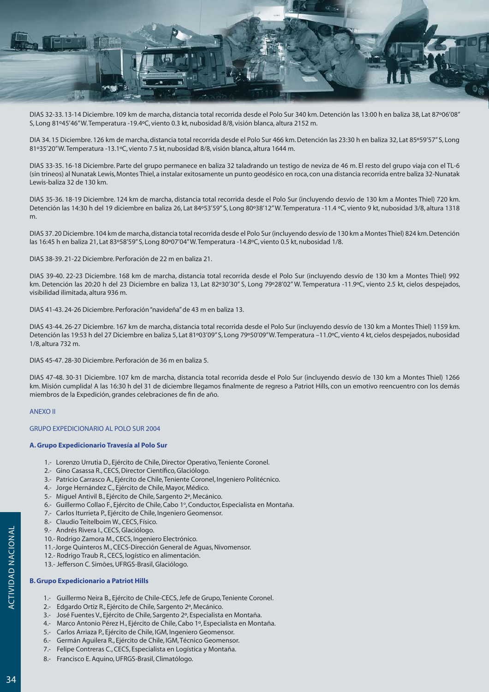

DIAS 32-33.13-14 Diciembre. 109 km de marcha, distancia total recorrida desde el Polo Sur 340 km. Detención las 13:00 h en baliza 38, Lat 87°06'08" S, Long 81°45'46" W. Temperatura -19.4°C, viento 0.3 kt, nubosidad 8/8, visión blanca, altura 2152 m.

DIA 34.15 Diciembre. 126 km de marcha, distancia total recorrida desde el Polo Sur 466 km. Detención las 23:30 h en baliza 32, Lat 85°59'57" S, Long 81°35'20"W. Temperatura -13.1°C, viento 7.5 kt, nubosidad 8/8, visión blanca, altura 1644 m.

DIAS 33-35. 16-18 Diciembre. Parte del grupo permanece en baliza 32 taladrando un testigo de neviza de 46 m. El resto del grupo viaja con el TL-6 (sin trineos) al Nunatak Lewis, Montes Thiel, a instalar exitosamente un punto geodésico en roca, con una distancia recorrida entre baliza 32-Nunatak Lewis-baliza 32 de 130 km.

DIAS 35-36. 18-19 Diciembre. 124 km de marcha, distancia total recorrida desde el Polo Sur (incluyendo desvío de 130 km a Montes Thiel) 720 km. Detención las 14:30 h del 19 diciembre en baliza 26, Lat 84º53'59" S, Long 80º38'12" W. Temperatura -11.4 °C, viento 9 kt, nubosidad 3/8, altura 1318 m.

DIAS 37.20 Diciembre. 104 km de marcha, distancia total recorrida desde el Polo Sur (incluyendo desvío de 130 km a Montes Thiel) 824 km. Detención las 16:45 h en baliza 21, Lat 83°58'59" S, Long 80°07'04" W. Temperatura -14.8°C, viento 0.5 kt, nubosidad 1/8.

DIAS 38-39, 21-22 Diciembre, Perforación de 22 m en baliza 21.

DIAS 39-40. 22-23 Diciembre. 168 km de marcha, distancia total recorrida desde el Polo Sur (incluyendo desvío de 130 km a Montes Thiel) 992 km. Detención las 20:20 h del 23 Diciembre en baliza 13, Lat 82°30'30" S, Long 79°28'02" W. Temperatura -11.9°C, viento 2.5 kt, cielos despejados, visibilidad ilimitada, altura 936 m.

DIAS 41-43, 24-26 Diciembre, Perforación "navideña" de 43 m en baliza 13.

DIAS 43-44.26-27 Diciembre. 167 km de marcha, distancia total recorrida desde el Polo Sur (incluyendo desvío de 130 km a Montes Thiel) 1159 km. Detención las 19:53 h del 27 Diciembre en baliza 5, Lat 81º03'09" S, Long 79º50'09" W. Temperatura -11.0°C, viento 4 kt, cielos despejados, nubosidad 1/8, altura 732 m.

DIAS 45-47, 28-30 Diciembre, Perforación de 36 m en baliza 5.

DIAS 47-48. 30-31 Diciembre. 107 km de marcha, distancia total recorrida desde el Polo Sur (incluyendo desvío de 130 km a Montes Thiel) 1266 km. Misión cumplida! A las 16:30 h del 31 de diciembre llegamos finalmente de regreso a Patriot Hills, con un emotivo reencuentro con los demás miembros de la Expedición, grandes celebraciones de fin de año.

# **ANFXO II**

# **GRUPO EXPEDICIONARIO AL POLO SUR 2004**

# A. Grupo Expedicionario Travesía al Polo Sur

- 1.- Lorenzo Urrutia D., Ejército de Chile, Director Operativo, Teniente Coronel.
- 2.- Gino Casassa R., CECS, Director Científico, Glaciólogo.
- 3.- Patricio Carrasco A., Ejército de Chile, Teniente Coronel, Ingeniero Politécnico.
- 4.- Jorge Hernández C., Ejército de Chile, Mayor, Médico.
- 5.- Miquel Antivil B., Ejército de Chile, Sargento 2º, Mecánico.
- 6.- Guillermo Collao F., Ejército de Chile, Cabo 1º, Conductor, Especialista en Montaña.
- 7.- Carlos Iturrieta P., Ejército de Chile, Ingeniero Geomensor.
- 8.- Claudio Teitelboim W., CECS, Físico.
- 9.- Andrés Rivera I., CECS, Glaciólogo.
- 10.- Rodrigo Zamora M., CECS, Ingeniero Electrónico.
- 11.-Jorge Quinteros M., CECS-Dirección General de Aguas, Nivomensor.
- 12.- Rodrigo Traub R., CECS, logístico en alimentación.
- 13.- Jefferson C. Simões, UFRGS-Brasil, Glaciólogo.

# **B. Grupo Expedicionario a Patriot Hills**

- 1.- Guillermo Neira B., Ejército de Chile-CECS, Jefe de Grupo, Teniente Coronel.
- 2.- Edgardo Ortiz R., Ejército de Chile, Sargento 2º, Mecánico.
- 3.- José Fuentes V., Ejército de Chile, Sargento 2º, Especialista en Montaña.
- 4.- Marco Antonio Pérez H., Ejército de Chile, Cabo 1º, Especialista en Montaña.
- 5.- Carlos Arriaza P., Ejército de Chile, IGM, Ingeniero Geomensor.
- 6.- Germán Aquilera R., Ejército de Chile, IGM, Técnico Geomensor.
- 7.- Felipe Contreras C., CECS, Especialista en Logística y Montaña.
- 8.- Francisco E. Aquino, UFRGS-Brasil, Climatólogo.